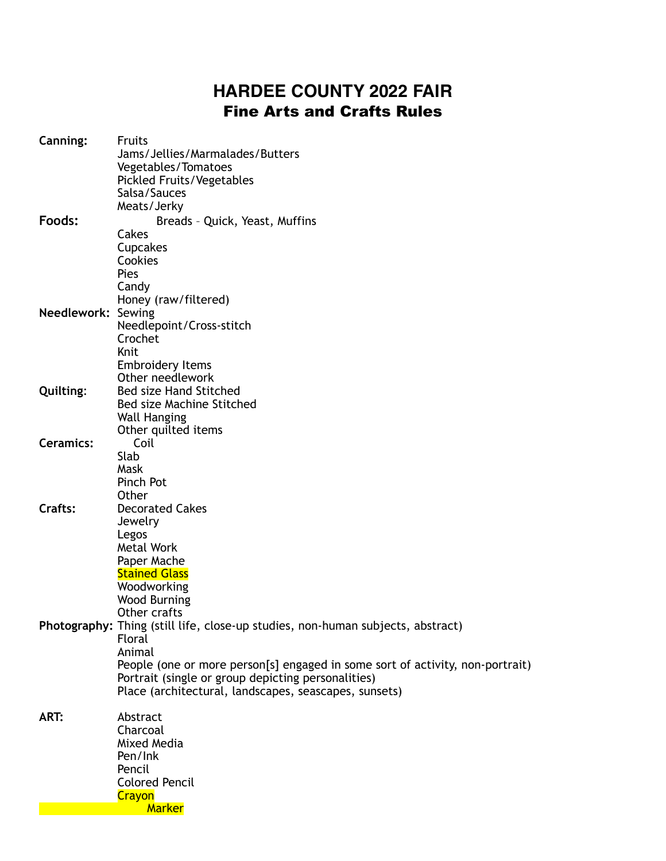## **HARDEE COUNTY 2022 FAIR**  Fine Arts and Crafts Rules

| Canning:           | <b>Fruits</b>                                                                   |
|--------------------|---------------------------------------------------------------------------------|
|                    | Jams/Jellies/Marmalades/Butters                                                 |
|                    | Vegetables/Tomatoes                                                             |
|                    | Pickled Fruits/Vegetables                                                       |
|                    | Salsa/Sauces                                                                    |
|                    | Meats/Jerky                                                                     |
| Foods:             | Breads - Quick, Yeast, Muffins                                                  |
|                    | Cakes                                                                           |
|                    | Cupcakes                                                                        |
|                    | Cookies                                                                         |
|                    | Pies                                                                            |
|                    | Candy                                                                           |
| Needlework: Sewing | Honey (raw/filtered)                                                            |
|                    | Needlepoint/Cross-stitch                                                        |
|                    | Crochet                                                                         |
|                    | Knit                                                                            |
|                    | <b>Embroidery Items</b>                                                         |
|                    | Other needlework                                                                |
| Quilting:          | <b>Bed size Hand Stitched</b>                                                   |
|                    | Bed size Machine Stitched                                                       |
|                    | <b>Wall Hanging</b>                                                             |
|                    | Other quilted items                                                             |
| <b>Ceramics:</b>   | Coil                                                                            |
|                    | Slab                                                                            |
|                    | Mask                                                                            |
|                    | Pinch Pot                                                                       |
|                    | Other                                                                           |
| Crafts:            | <b>Decorated Cakes</b>                                                          |
|                    | Jewelry                                                                         |
|                    | Legos                                                                           |
|                    | Metal Work                                                                      |
|                    | Paper Mache<br><b>Stained Glass</b>                                             |
|                    | Woodworking                                                                     |
|                    | <b>Wood Burning</b>                                                             |
|                    | Other crafts                                                                    |
|                    | Photography: Thing (still life, close-up studies, non-human subjects, abstract) |
|                    | Floral                                                                          |
|                    | Animal                                                                          |
|                    | People (one or more person[s] engaged in some sort of activity, non-portrait)   |
|                    | Portrait (single or group depicting personalities)                              |
|                    | Place (architectural, landscapes, seascapes, sunsets)                           |
|                    |                                                                                 |
| ART:               | Abstract                                                                        |
|                    | Charcoal                                                                        |
|                    | Mixed Media                                                                     |
|                    | Pen/Ink                                                                         |
|                    | Pencil                                                                          |
|                    | <b>Colored Pencil</b>                                                           |
|                    | Crayon                                                                          |
|                    | <b>Marker</b>                                                                   |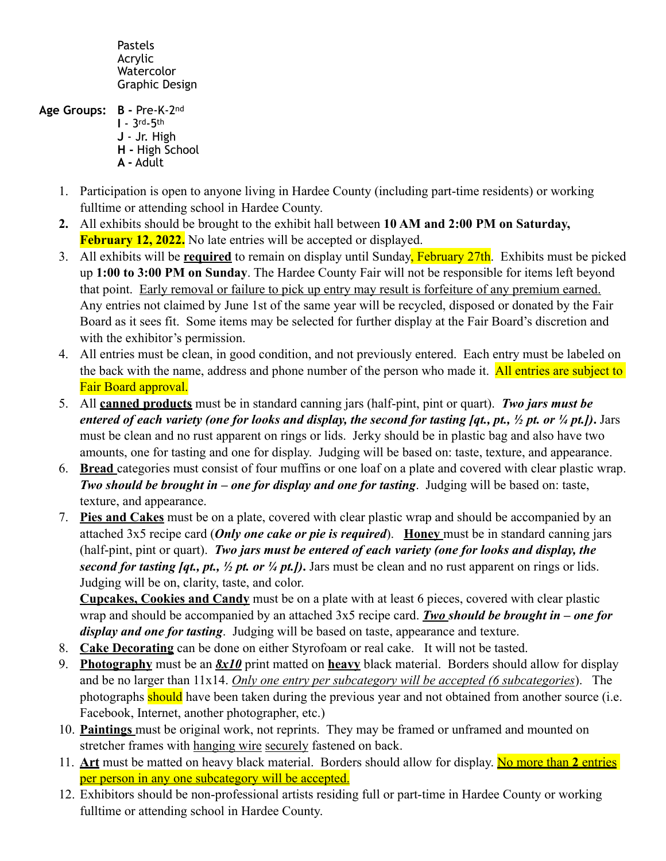Pastels Acrylic Watercolor Graphic Design

**Age Groups: B -** Pre-K-2nd **I** - 3rd-5th **J** - Jr. High **H -** High School **A -** Adult

- 
- 1. Participation is open to anyone living in Hardee County (including part-time residents) or working fulltime or attending school in Hardee County.
- **2.** All exhibits should be brought to the exhibit hall between **10 AM and 2:00 PM on Saturday, February 12, 2022.** No late entries will be accepted or displayed.
- 3. All exhibits will be **required** to remain on display until Sunday, February 27th. Exhibits must be picked up **1:00 to 3:00 PM on Sunday**. The Hardee County Fair will not be responsible for items left beyond that point. Early removal or failure to pick up entry may result is forfeiture of any premium earned. Any entries not claimed by June 1st of the same year will be recycled, disposed or donated by the Fair Board as it sees fit. Some items may be selected for further display at the Fair Board's discretion and with the exhibitor's permission.
- 4. All entries must be clean, in good condition, and not previously entered. Each entry must be labeled on the back with the name, address and phone number of the person who made it. All entries are subject to Fair Board approval.
- 5. All **canned products** must be in standard canning jars (half-pint, pint or quart). *Two jars must be entered of each variety (one for looks and display, the second for tasting [qt., pt., ½ pt. or ¼ pt.])***.** Jars must be clean and no rust apparent on rings or lids. Jerky should be in plastic bag and also have two amounts, one for tasting and one for display. Judging will be based on: taste, texture, and appearance.
- 6. **Bread** categories must consist of four muffins or one loaf on a plate and covered with clear plastic wrap. *Two should be brought in – one for display and one for tasting*. Judging will be based on: taste, texture, and appearance.
- 7. **Pies and Cakes** must be on a plate, covered with clear plastic wrap and should be accompanied by an attached 3x5 recipe card (*Only one cake or pie is required*). **Honey** must be in standard canning jars (half-pint, pint or quart). *Two jars must be entered of each variety (one for looks and display, the second for tasting [qt., pt., ½ pt. or ¼ pt.])***.** Jars must be clean and no rust apparent on rings or lids. Judging will be on, clarity, taste, and color.

**Cupcakes, Cookies and Candy** must be on a plate with at least 6 pieces, covered with clear plastic wrap and should be accompanied by an attached 3x5 recipe card. *Two should be brought in – one for display and one for tasting*. Judging will be based on taste, appearance and texture.

- 8. **Cake Decorating** can be done on either Styrofoam or real cake. It will not be tasted.
- 9. **Photography** must be an *8x10* print matted on **heavy** black material. Borders should allow for display and be no larger than 11x14. *Only one entry per subcategory will be accepted (6 subcategories*). The photographs should have been taken during the previous year and not obtained from another source (i.e. Facebook, Internet, another photographer, etc.)
- 10. **Paintings** must be original work, not reprints. They may be framed or unframed and mounted on stretcher frames with hanging wire securely fastened on back.
- 11. **Art** must be matted on heavy black material. Borders should allow for display. No more than **2** entries per person in any one subcategory will be accepted.
- 12. Exhibitors should be non-professional artists residing full or part-time in Hardee County or working fulltime or attending school in Hardee County.